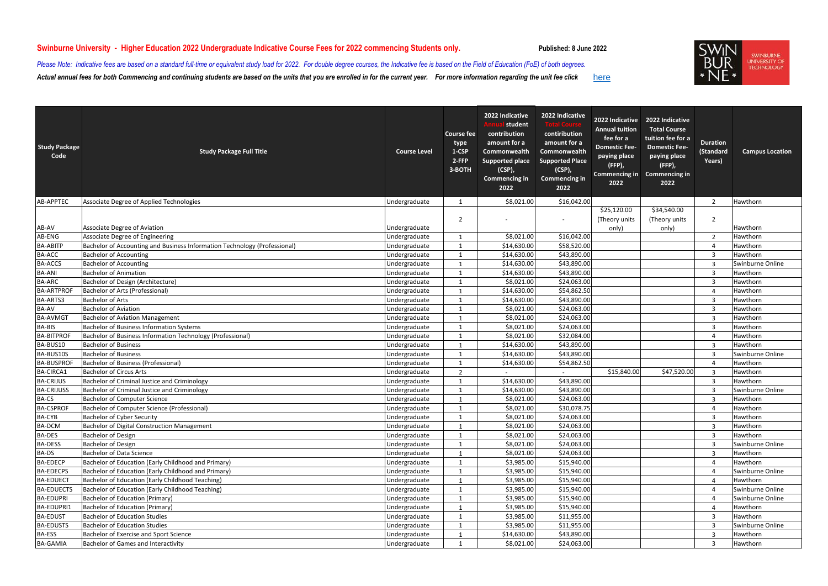| <b>Study Package</b><br>Code | <b>Study Package Full Title</b>                                           | <b>Course Level</b> | <b>Course fee</b><br>type<br>1-CSP<br>2-FFP<br>3-BOTH | 2022 Indicative<br>student<br>contribution<br>amount for a<br><b>Commonwealth</b><br><b>Supported place</b><br>$(CSP)$ ,<br><b>Commencing in</b><br>2022 | 2022 Indicative<br>contiribution<br>amount for a<br>Commonwealth<br><b>Supported Place</b><br>$(CSP)$ ,<br><b>Commencing in</b><br>2022 | 2022 Indicative<br><b>Annual tuition</b><br>fee for a<br><b>Domestic Fee-</b><br>paying place<br>$(FFP)$ ,<br><b>Commencing in</b><br>2022 | 2022 Indicative<br><b>Total Course</b><br>tuition fee for a<br><b>Domestic Fee-</b><br>paying place<br>(FFP)<br><b>Commencing in</b><br>2022 | <b>Duration</b><br>(Standard<br>Years) | <b>Campus Location</b> |
|------------------------------|---------------------------------------------------------------------------|---------------------|-------------------------------------------------------|----------------------------------------------------------------------------------------------------------------------------------------------------------|-----------------------------------------------------------------------------------------------------------------------------------------|--------------------------------------------------------------------------------------------------------------------------------------------|----------------------------------------------------------------------------------------------------------------------------------------------|----------------------------------------|------------------------|
| <b>AB-APPTEC</b>             | Associate Degree of Applied Technologies                                  | Undergraduate       | -1                                                    | \$8,021.00                                                                                                                                               | \$16,042.00                                                                                                                             |                                                                                                                                            |                                                                                                                                              | $\overline{2}$                         | Hawthorn               |
|                              |                                                                           |                     |                                                       |                                                                                                                                                          |                                                                                                                                         | \$25,120.00                                                                                                                                | \$34,540.00                                                                                                                                  |                                        |                        |
|                              |                                                                           |                     | $\overline{2}$                                        |                                                                                                                                                          |                                                                                                                                         | (Theory units                                                                                                                              | (Theory units                                                                                                                                | $\overline{2}$                         |                        |
| AB-AV                        | Associate Degree of Aviation                                              | Undergraduate       |                                                       |                                                                                                                                                          |                                                                                                                                         | only)                                                                                                                                      | only)                                                                                                                                        |                                        | Hawthorn               |
| AB-ENG                       | <b>Associate Degree of Engineering</b>                                    | Undergraduate       |                                                       | \$8,021.00                                                                                                                                               | \$16,042.00                                                                                                                             |                                                                                                                                            |                                                                                                                                              | $\mathcal{P}$                          | Hawthorn               |
| <b>BA-ABITP</b>              | Bachelor of Accounting and Business Information Technology (Professional) | Undergraduate       |                                                       | \$14,630.00                                                                                                                                              | \$58,520.00                                                                                                                             |                                                                                                                                            |                                                                                                                                              |                                        | Hawthorn               |
| <b>BA-ACC</b>                | <b>Bachelor of Accounting</b>                                             | Undergraduate       | $\mathbf{1}$                                          | \$14,630.00                                                                                                                                              | \$43,890.00                                                                                                                             |                                                                                                                                            |                                                                                                                                              | 3                                      | Hawthorn               |
| <b>BA-ACCS</b>               | <b>Bachelor of Accounting</b>                                             | Undergraduate       | -1                                                    | \$14,630.00                                                                                                                                              | \$43,890.00                                                                                                                             |                                                                                                                                            |                                                                                                                                              | 3                                      | Swinburne Online       |
| <b>BA-ANI</b>                | <b>Bachelor of Animation</b>                                              | Undergraduate       | $\mathbf{1}$                                          | \$14,630.00                                                                                                                                              | \$43,890.00                                                                                                                             |                                                                                                                                            |                                                                                                                                              | 3                                      | Hawthorn               |
| <b>BA-ARC</b>                | Bachelor of Design (Architecture)                                         | Undergraduate       | $\mathbf{1}$                                          | \$8,021.00                                                                                                                                               | \$24,063.00                                                                                                                             |                                                                                                                                            |                                                                                                                                              | 3                                      | Hawthorn               |
| <b>BA-ARTPROF</b>            | Bachelor of Arts (Professional)                                           | Undergraduate       |                                                       | \$14,630.00                                                                                                                                              | \$54,862.50                                                                                                                             |                                                                                                                                            |                                                                                                                                              |                                        | Hawthorn               |
| BA-ARTS3                     | <b>Bachelor of Arts</b>                                                   | Undergraduate       | $\mathbf{1}$                                          | \$14,630.00                                                                                                                                              | \$43,890.00                                                                                                                             |                                                                                                                                            |                                                                                                                                              | 3                                      | Hawthorn               |
| <b>BA-AV</b>                 | <b>Bachelor of Aviation</b>                                               | Undergraduate       | $\mathbf{1}$                                          | \$8,021.00                                                                                                                                               | \$24,063.00                                                                                                                             |                                                                                                                                            |                                                                                                                                              | 3                                      | Hawthorn               |
| <b>BA-AVMG1</b>              | <b>Bachelor of Aviation Management</b>                                    | Undergraduate       | $\mathbf{1}$                                          | \$8,021.00                                                                                                                                               | \$24,063.00                                                                                                                             |                                                                                                                                            |                                                                                                                                              | 3                                      | Hawthorn               |
| <b>BA-BIS</b>                | <b>Bachelor of Business Information Systems</b>                           | Undergraduate       | $\mathbf{1}$                                          | \$8,021.00                                                                                                                                               | \$24,063.00                                                                                                                             |                                                                                                                                            |                                                                                                                                              | 3                                      | Hawthorn               |
| <b>BA-BITPROF</b>            | Bachelor of Business Information Technology (Professional)                | Undergraduate       |                                                       | \$8,021.00                                                                                                                                               | \$32,084.00                                                                                                                             |                                                                                                                                            |                                                                                                                                              |                                        | Hawthorn               |
| BA-BUS10                     | <b>Bachelor of Business</b>                                               | Undergraduate       | $\mathbf{1}$                                          | \$14,630.00                                                                                                                                              | \$43,890.00                                                                                                                             |                                                                                                                                            |                                                                                                                                              | 3                                      | Hawthorn               |
| BA-BUS10S                    | <b>Bachelor of Business</b>                                               | Undergraduate       | $\overline{1}$                                        | \$14,630.00                                                                                                                                              | \$43,890.00                                                                                                                             |                                                                                                                                            |                                                                                                                                              | 3                                      | Swinburne Online       |
| <b>BA-BUSPROF</b>            | <b>Bachelor of Business (Professional)</b>                                | Undergraduate       | -1                                                    | \$14,630.00                                                                                                                                              | \$54,862.50                                                                                                                             |                                                                                                                                            |                                                                                                                                              |                                        | Hawthorn               |
| <b>BA-CIRCA1</b>             | <b>Bachelor of Circus Arts</b>                                            | Undergraduate       | $\overline{2}$                                        |                                                                                                                                                          |                                                                                                                                         | \$15,840.00                                                                                                                                | \$47,520.00                                                                                                                                  | 3                                      | Hawthorn               |
| <b>BA-CRIJUS</b>             | <b>Bachelor of Criminal Justice and Criminology</b>                       | Undergraduate       |                                                       | \$14,630.00                                                                                                                                              | \$43,890.00                                                                                                                             |                                                                                                                                            |                                                                                                                                              | 3                                      | Hawthorn               |
| <b>BA-CRIJUSS</b>            | <b>Bachelor of Criminal Justice and Criminology</b>                       | Undergraduate       |                                                       | \$14,630.00                                                                                                                                              | \$43,890.00                                                                                                                             |                                                                                                                                            |                                                                                                                                              | 3                                      | Swinburne Online       |
| <b>BA-CS</b>                 | <b>Bachelor of Computer Science</b>                                       | Undergraduate       |                                                       | \$8,021.00                                                                                                                                               | \$24,063.00                                                                                                                             |                                                                                                                                            |                                                                                                                                              | 3                                      | Hawthorn               |
| <b>BA-CSPROF</b>             | Bachelor of Computer Science (Professional)                               | Undergraduate       |                                                       | \$8,021.00                                                                                                                                               | \$30,078.75                                                                                                                             |                                                                                                                                            |                                                                                                                                              |                                        | Hawthorn               |
| <b>BA-CYB</b>                | <b>Bachelor of Cyber Security</b>                                         | Undergraduate       | $\mathbf{1}$                                          | \$8,021.00                                                                                                                                               | \$24,063.00                                                                                                                             |                                                                                                                                            |                                                                                                                                              | 3                                      | Hawthorn               |
| <b>BA-DCM</b>                | <b>Bachelor of Digital Construction Management</b>                        | Undergraduate       |                                                       | \$8,021.00                                                                                                                                               | \$24,063.00                                                                                                                             |                                                                                                                                            |                                                                                                                                              | 3                                      | Hawthorn               |
| BA-DES                       | <b>Bachelor of Design</b>                                                 | Undergraduate       |                                                       | \$8,021.00                                                                                                                                               | \$24,063.00                                                                                                                             |                                                                                                                                            |                                                                                                                                              | 3                                      | Hawthorn               |
| <b>BA-DESS</b>               | <b>Bachelor of Design</b>                                                 | Undergraduate       |                                                       | \$8,021.00                                                                                                                                               | \$24,063.00                                                                                                                             |                                                                                                                                            |                                                                                                                                              | 3                                      | Swinburne Online       |
| <b>BA-DS</b>                 | <b>Bachelor of Data Science</b>                                           | Undergraduate       |                                                       | \$8,021.00                                                                                                                                               | \$24,063.00                                                                                                                             |                                                                                                                                            |                                                                                                                                              | 3                                      | Hawthorn               |
| <b>BA-EDECP</b>              | Bachelor of Education (Early Childhood and Primary)                       | Undergraduate       |                                                       | \$3,985.00                                                                                                                                               | \$15,940.00                                                                                                                             |                                                                                                                                            |                                                                                                                                              |                                        | Hawthorn               |
| <b>BA-EDECPS</b>             | Bachelor of Education (Early Childhood and Primary)                       | Undergraduate       |                                                       | \$3,985.00                                                                                                                                               | \$15,940.00                                                                                                                             |                                                                                                                                            |                                                                                                                                              |                                        | Swinburne Online       |
| <b>BA-EDUECT</b>             | Bachelor of Education (Early Childhood Teaching)                          | Undergraduate       |                                                       | \$3,985.00                                                                                                                                               | \$15,940.00                                                                                                                             |                                                                                                                                            |                                                                                                                                              |                                        | Hawthorn               |
| <b>BA-EDUECTS</b>            | Bachelor of Education (Early Childhood Teaching)                          | Undergraduate       |                                                       | \$3,985.00                                                                                                                                               | \$15,940.00                                                                                                                             |                                                                                                                                            |                                                                                                                                              |                                        | Swinburne Online       |
| <b>BA-EDUPRI</b>             | <b>Bachelor of Education (Primary)</b>                                    | Undergraduate       |                                                       | \$3,985.00                                                                                                                                               | \$15,940.00                                                                                                                             |                                                                                                                                            |                                                                                                                                              |                                        | Swinburne Online       |
| <b>BA-EDUPRI1</b>            | <b>Bachelor of Education (Primary)</b>                                    | Undergraduate       |                                                       | \$3,985.00                                                                                                                                               | \$15,940.00                                                                                                                             |                                                                                                                                            |                                                                                                                                              |                                        | Hawthorn               |
| <b>BA-EDUST</b>              | <b>Bachelor of Education Studies</b>                                      | Undergraduate       |                                                       | \$3,985.00                                                                                                                                               | \$11,955.00                                                                                                                             |                                                                                                                                            |                                                                                                                                              | 3                                      | Hawthorn               |
| <b>BA-EDUSTS</b>             | Bachelor of Education Studies                                             | Undergraduate       |                                                       | \$3,985.00                                                                                                                                               | \$11,955.00                                                                                                                             |                                                                                                                                            |                                                                                                                                              | 3                                      | Swinburne Online       |
| <b>BA-ESS</b>                | <b>Bachelor of Exercise and Sport Science</b>                             | Undergraduate       |                                                       | \$14,630.00                                                                                                                                              | \$43,890.00                                                                                                                             |                                                                                                                                            |                                                                                                                                              | 3                                      | Hawthorn               |
| <b>BA-GAMIA</b>              | <b>Bachelor of Games and Interactivity</b>                                | Undergraduate       |                                                       | \$8,021.00                                                                                                                                               | \$24,063.00                                                                                                                             |                                                                                                                                            |                                                                                                                                              |                                        | Hawthorn               |

**[here](file:///C:/Users/mmayugabuono/Downloads/2022-higher-education-undergraduate-csp-unit-fee-schedule (1).pdf)** 



SWINBURNE<br>UNIVERSITY OF<br>TECHNOLOGY

*Actual annual fees for both Commencing and continuing students are based on the units that you are enrolled in for the current year. For more information regarding the unit fee click Please Note: Indicative fees are based on a standard full-time or equivalent study load for 2022. For double degree courses, the Indicative fee is based on the Field of Education (FoE) of both degrees.*

## **Swinburne University - Higher Education 2022 Undergraduate Indicative Course Fees for 2022 commencing Students only. Published: 8 June 2022**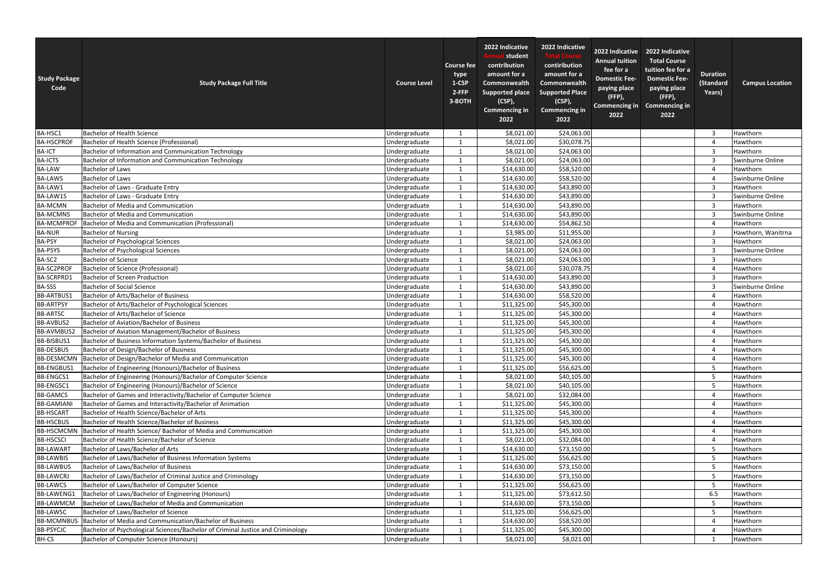| <b>Study Package</b><br>Code | <b>Study Package Full Title</b>                                                 | <b>Course Level</b> | <b>Course fee</b><br>type<br>1-CSP<br>2-FFP<br>3-BOTH | 2022 Indicative<br>student<br>contribution<br>amount for a<br>Commonwealth<br><b>Supported place</b><br>(CSP),<br><b>Commencing in</b><br>2022 | 2022 Indicative<br>contiribution<br>amount for a<br><b>Commonwealth</b><br><b>Supported Place</b><br>(CSP),<br><b>Commencing in</b><br>2022 | 2022 Indicative<br><b>Annual tuition</b><br>fee for a<br><b>Domestic Fee-</b><br>paying place<br>$(FFP)$ ,<br><b>Commencing in</b><br>2022 | 2022 Indicative<br><b>Total Course</b><br>tuition fee for a<br><b>Domestic Fee-</b><br>paying place<br>(FFP)<br><b>Commencing in</b><br>2022 | <b>Duration</b><br>(Standard<br>Years) | <b>Campus Location</b> |
|------------------------------|---------------------------------------------------------------------------------|---------------------|-------------------------------------------------------|------------------------------------------------------------------------------------------------------------------------------------------------|---------------------------------------------------------------------------------------------------------------------------------------------|--------------------------------------------------------------------------------------------------------------------------------------------|----------------------------------------------------------------------------------------------------------------------------------------------|----------------------------------------|------------------------|
| BA-HSC1                      | <b>Bachelor of Health Science</b>                                               | Undergraduate       |                                                       | \$8,021.00                                                                                                                                     | \$24,063.00                                                                                                                                 |                                                                                                                                            |                                                                                                                                              | $\overline{3}$                         | Hawthorn               |
| <b>BA-HSCPROF</b>            | <b>Bachelor of Health Science (Professional)</b>                                | Undergraduate       |                                                       | \$8,021.00                                                                                                                                     | \$30,078.75                                                                                                                                 |                                                                                                                                            |                                                                                                                                              | $\overline{4}$                         | Hawthorn               |
| <b>BA-ICT</b>                | Bachelor of Information and Communication Technology                            | Undergraduate       |                                                       | \$8,021.00                                                                                                                                     | \$24,063.00                                                                                                                                 |                                                                                                                                            |                                                                                                                                              | $\overline{3}$                         | Hawthorn               |
| <b>BA-ICTS</b>               | <b>Bachelor of Information and Communication Technology</b>                     | Undergraduate       |                                                       | \$8,021.00                                                                                                                                     | \$24,063.00                                                                                                                                 |                                                                                                                                            |                                                                                                                                              | $\overline{3}$                         | Swinburne Online       |
| <b>BA-LAW</b>                | <b>Bachelor of Laws</b>                                                         | Undergraduate       |                                                       | \$14,630.00                                                                                                                                    | \$58,520.00                                                                                                                                 |                                                                                                                                            |                                                                                                                                              | $\overline{4}$                         | Hawthorn               |
| <b>BA-LAWS</b>               | <b>Bachelor of Laws</b>                                                         | Undergraduate       |                                                       | \$14,630.00                                                                                                                                    | \$58,520.00                                                                                                                                 |                                                                                                                                            |                                                                                                                                              | $\overline{4}$                         | Swinburne Online       |
| BA-LAW1                      | Bachelor of Laws - Graduate Entry                                               | Undergraduate       |                                                       | \$14,630.00                                                                                                                                    | \$43,890.00                                                                                                                                 |                                                                                                                                            |                                                                                                                                              | $\mathbf{3}$                           | Hawthorn               |
| BA-LAW1S                     | Bachelor of Laws - Graduate Entry                                               | Undergraduate       |                                                       | \$14,630.00                                                                                                                                    | \$43,890.00                                                                                                                                 |                                                                                                                                            |                                                                                                                                              | $\overline{3}$                         | Swinburne Online       |
| <b>BA-MCMN</b>               | <b>Bachelor of Media and Communication</b>                                      | Undergraduate       | $\mathbf{1}$                                          | \$14,630.00                                                                                                                                    | \$43,890.00                                                                                                                                 |                                                                                                                                            |                                                                                                                                              | $\overline{3}$                         | Hawthorn               |
| <b>BA-MCMNS</b>              | <b>Bachelor of Media and Communication</b>                                      | Undergraduate       |                                                       | \$14,630.00                                                                                                                                    | \$43,890.00                                                                                                                                 |                                                                                                                                            |                                                                                                                                              | $\overline{3}$                         | Swinburne Online       |
| <b>BA-MCMPROF</b>            | Bachelor of Media and Communication (Professional)                              | Undergraduate       |                                                       | \$14,630.00                                                                                                                                    | \$54,862.50                                                                                                                                 |                                                                                                                                            |                                                                                                                                              | $\overline{4}$                         | Hawthorn               |
| <b>BA-NUR</b>                | <b>Bachelor of Nursing</b>                                                      | Undergraduate       |                                                       | \$3,985.00                                                                                                                                     | \$11,955.00                                                                                                                                 |                                                                                                                                            |                                                                                                                                              | $\overline{3}$                         | Hawthorn, Wanitrna     |
| <b>BA-PSY</b>                | <b>Bachelor of Psychological Sciences</b>                                       | Undergraduate       |                                                       | \$8,021.00                                                                                                                                     | \$24,063.00                                                                                                                                 |                                                                                                                                            |                                                                                                                                              | $\overline{3}$                         | Hawthorn               |
| <b>BA-PSYS</b>               | <b>Bachelor of Psychological Sciences</b>                                       | Undergraduate       |                                                       | \$8,021.00                                                                                                                                     | \$24,063.00                                                                                                                                 |                                                                                                                                            |                                                                                                                                              | $\overline{3}$                         | Swinburne Online       |
| BA-SC2                       | <b>Bachelor of Science</b>                                                      | Undergraduate       |                                                       | \$8,021.00                                                                                                                                     | \$24,063.00                                                                                                                                 |                                                                                                                                            |                                                                                                                                              | $\overline{3}$                         | Hawthorn               |
| BA-SC2PROF                   | <b>Bachelor of Science (Professional)</b>                                       | Undergraduate       |                                                       | \$8,021.00                                                                                                                                     | \$30,078.75                                                                                                                                 |                                                                                                                                            |                                                                                                                                              | $\overline{4}$                         | Hawthorn               |
| BA-SCRPRD1                   | <b>Bachelor of Screen Production</b>                                            | Undergraduate       |                                                       | \$14,630.00                                                                                                                                    | \$43,890.00                                                                                                                                 |                                                                                                                                            |                                                                                                                                              | $\overline{3}$                         | Hawthorn               |
| <b>BA-SSS</b>                | <b>Bachelor of Social Science</b>                                               | Undergraduate       |                                                       | \$14,630.00                                                                                                                                    | \$43,890.00                                                                                                                                 |                                                                                                                                            |                                                                                                                                              | $\overline{3}$                         | Swinburne Online       |
| <b>BB-ARTBUS1</b>            | Bachelor of Arts/Bachelor of Business                                           | Undergraduate       |                                                       | \$14,630.00                                                                                                                                    | \$58,520.00                                                                                                                                 |                                                                                                                                            |                                                                                                                                              | $\overline{4}$                         | Hawthorn               |
| <b>BB-ARTPSY</b>             | Bachelor of Arts/Bachelor of Psychological Sciences                             | Undergraduate       |                                                       | \$11,325.00                                                                                                                                    | \$45,300.00                                                                                                                                 |                                                                                                                                            |                                                                                                                                              | $\overline{4}$                         | Hawthorn               |
| <b>BB-ARTSC</b>              | Bachelor of Arts/Bachelor of Science                                            | Undergraduate       |                                                       | \$11,325.00                                                                                                                                    | \$45,300.00                                                                                                                                 |                                                                                                                                            |                                                                                                                                              | $\overline{4}$                         | Hawthorn               |
| <b>BB-AVBUS2</b>             | <b>Bachelor of Aviation/Bachelor of Business</b>                                | Undergraduate       |                                                       | \$11,325.00                                                                                                                                    | \$45,300.00                                                                                                                                 |                                                                                                                                            |                                                                                                                                              | $\overline{4}$                         | Hawthorn               |
| BB-AVMBUS2                   | Bachelor of Aviation Management/Bachelor of Business                            | Undergraduate       |                                                       | \$11,325.00                                                                                                                                    | \$45,300.00                                                                                                                                 |                                                                                                                                            |                                                                                                                                              |                                        | Hawthorn               |
| <b>BB-BISBUS1</b>            | Bachelor of Business Information Systems/Bachelor of Business                   | Undergraduate       |                                                       | \$11,325.00                                                                                                                                    | \$45,300.00                                                                                                                                 |                                                                                                                                            |                                                                                                                                              | $\overline{4}$                         | Hawthorn               |
| <b>BB-DESBUS</b>             | Bachelor of Design/Bachelor of Business                                         | Undergraduate       |                                                       | \$11,325.00                                                                                                                                    | \$45,300.00                                                                                                                                 |                                                                                                                                            |                                                                                                                                              | $\Delta$                               | Hawthorn               |
| <b>BB-DESMCMN</b>            | Bachelor of Design/Bachelor of Media and Communication                          | Undergraduate       |                                                       | \$11,325.00                                                                                                                                    | \$45,300.00                                                                                                                                 |                                                                                                                                            |                                                                                                                                              | $\overline{4}$                         | Hawthorn               |
| <b>BB-ENGBUS1</b>            | Bachelor of Engineering (Honours)/Bachelor of Business                          | Undergraduate       |                                                       | \$11,325.00                                                                                                                                    | \$56,625.00                                                                                                                                 |                                                                                                                                            |                                                                                                                                              | 5                                      | Hawthorn               |
| <b>BB-ENGCS1</b>             | Bachelor of Engineering (Honours)/Bachelor of Computer Science                  | Undergraduate       |                                                       | \$8,021.00                                                                                                                                     | \$40,105.00                                                                                                                                 |                                                                                                                                            |                                                                                                                                              | 5                                      | Hawthorn               |
| <b>BB-ENGSC1</b>             | Bachelor of Engineering (Honours)/Bachelor of Science                           | Undergraduate       |                                                       | \$8,021.00                                                                                                                                     | \$40,105.00                                                                                                                                 |                                                                                                                                            |                                                                                                                                              | 5 <sup>5</sup>                         | Hawthorn               |
| <b>BB-GAMCS</b>              | Bachelor of Games and Interactivity/Bachelor of Computer Science                | Undergraduate       |                                                       | \$8,021.00                                                                                                                                     | \$32,084.00                                                                                                                                 |                                                                                                                                            |                                                                                                                                              | $\overline{4}$                         | Hawthorn               |
| <b>BB-GAMIANI</b>            | Bachelor of Games and Interactivity/Bachelor of Animation                       | Undergraduate       |                                                       | \$11,325.00                                                                                                                                    | \$45,300.00                                                                                                                                 |                                                                                                                                            |                                                                                                                                              | $\overline{4}$                         | Hawthorn               |
| <b>BB-HSCART</b>             | Bachelor of Health Science/Bachelor of Arts                                     | Undergraduate       |                                                       | \$11,325.00                                                                                                                                    | \$45,300.00                                                                                                                                 |                                                                                                                                            |                                                                                                                                              | 4                                      | Hawthorn               |
| <b>BB-HSCBUS</b>             | Bachelor of Health Science/Bachelor of Business                                 | Undergraduate       |                                                       | \$11,325.00                                                                                                                                    | \$45,300.00                                                                                                                                 |                                                                                                                                            |                                                                                                                                              | $\overline{4}$                         | Hawthorn               |
| <b>BB-HSCMCMN</b>            | Bachelor of Health Science/ Bachelor of Media and Communication                 | Undergraduate       |                                                       | \$11,325.00                                                                                                                                    | \$45,300.00                                                                                                                                 |                                                                                                                                            |                                                                                                                                              | $\overline{4}$                         | Hawthorn               |
| <b>BB-HSCSCI</b>             | Bachelor of Health Science/Bachelor of Science                                  | Undergraduate       |                                                       | \$8,021.00                                                                                                                                     | \$32,084.00                                                                                                                                 |                                                                                                                                            |                                                                                                                                              | 4                                      | Hawthorn               |
| <b>BB-LAWART</b>             | Bachelor of Laws/Bachelor of Arts                                               | Undergraduate       |                                                       | \$14,630.00                                                                                                                                    | \$73,150.00                                                                                                                                 |                                                                                                                                            |                                                                                                                                              | 5                                      | Hawthorn               |
| <b>BB-LAWBIS</b>             | Bachelor of Laws/Bachelor of Business Information Systems                       | Undergraduate       |                                                       | \$11,325.00                                                                                                                                    | \$56,625.00                                                                                                                                 |                                                                                                                                            |                                                                                                                                              | -5                                     | Hawthorn               |
| <b>BB-LAWBUS</b>             | Bachelor of Laws/Bachelor of Business                                           | Undergraduate       |                                                       | \$14,630.00                                                                                                                                    | \$73,150.00                                                                                                                                 |                                                                                                                                            |                                                                                                                                              | 5                                      | Hawthorn               |
| <b>BB-LAWCRJ</b>             | Bachelor of Laws/Bachelor of Criminal Justice and Criminology                   | Undergraduate       |                                                       | \$14,630.00                                                                                                                                    | \$73,150.00                                                                                                                                 |                                                                                                                                            |                                                                                                                                              | 5                                      | Hawthorn               |
| <b>BB-LAWCS</b>              | Bachelor of Laws/Bachelor of Computer Science                                   | Undergraduate       |                                                       | \$11,325.00                                                                                                                                    | \$56,625.00                                                                                                                                 |                                                                                                                                            |                                                                                                                                              | 5                                      | Hawthorn               |
| <b>BB-LAWENG1</b>            | Bachelor of Laws/Bachelor of Engineering (Honours)                              | Undergraduate       |                                                       | \$11,325.00                                                                                                                                    | \$73,612.50                                                                                                                                 |                                                                                                                                            |                                                                                                                                              | 6.5                                    | Hawthorn               |
| <b>BB-LAWMCM</b>             | Bachelor of Laws/Bachelor of Media and Communication                            | Undergraduate       |                                                       | \$14,630.00                                                                                                                                    | \$73,150.00                                                                                                                                 |                                                                                                                                            |                                                                                                                                              | $5\phantom{.0}$                        | Hawthorn               |
| <b>BB-LAWSC</b>              | Bachelor of Laws/Bachelor of Science                                            | Undergraduate       |                                                       | \$11,325.00                                                                                                                                    | \$56,625.00                                                                                                                                 |                                                                                                                                            |                                                                                                                                              | 5 <sup>5</sup>                         | Hawthorn               |
| <b>BB-MCMNBUS</b>            | Bachelor of Media and Communication/Bachelor of Business                        | Undergraduate       |                                                       | \$14,630.00                                                                                                                                    | \$58,520.00                                                                                                                                 |                                                                                                                                            |                                                                                                                                              | $\overline{4}$                         | Hawthorn               |
| <b>BB-PSYCIC</b>             | Bachelor of Psychological Sciences/Bachelor of Criminal Justice and Criminology | Undergraduate       |                                                       | \$11,325.00                                                                                                                                    | \$45,300.00                                                                                                                                 |                                                                                                                                            |                                                                                                                                              | 4                                      | Hawthorn               |
| BH-CS                        | <b>Bachelor of Computer Science (Honours)</b>                                   | Undergraduate       |                                                       | \$8,021.00                                                                                                                                     | \$8,021.00                                                                                                                                  |                                                                                                                                            |                                                                                                                                              |                                        | Hawthorn               |
|                              |                                                                                 |                     |                                                       |                                                                                                                                                |                                                                                                                                             |                                                                                                                                            |                                                                                                                                              |                                        |                        |